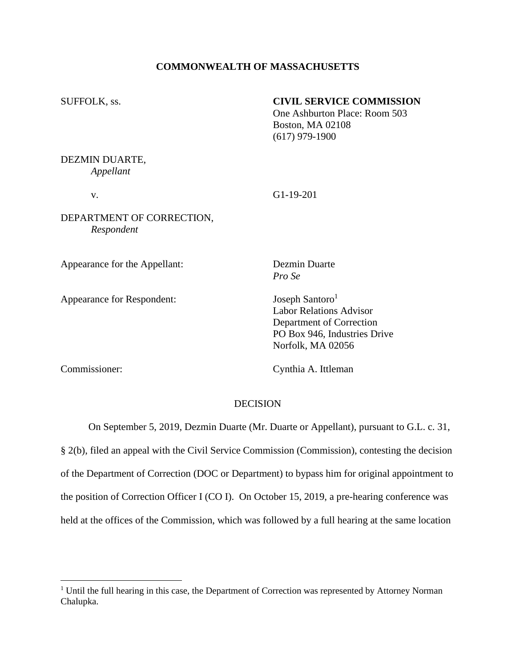## **COMMONWEALTH OF MASSACHUSETTS**

## SUFFOLK, ss. **CIVIL SERVICE COMMISSION**

One Ashburton Place: Room 503 Boston, MA 02108 (617) 979-1900

# DEZMIN DUARTE, *Appellant*

# v. G1-19-201

# DEPARTMENT OF CORRECTION, *Respondent*

Appearance for the Appellant: Dezmin Duarte

Appearance for Respondent: Joseph Santoro<sup>1</sup>

*Pro Se*

Labor Relations Advisor Department of Correction PO Box 946, Industries Drive Norfolk, MA 02056

Commissioner: Cynthia A. Ittleman

## DECISION

On September 5, 2019, Dezmin Duarte (Mr. Duarte or Appellant), pursuant to G.L. c. 31,

§ 2(b), filed an appeal with the Civil Service Commission (Commission), contesting the decision of the Department of Correction (DOC or Department) to bypass him for original appointment to the position of Correction Officer I (CO I). On October 15, 2019, a pre-hearing conference was held at the offices of the Commission, which was followed by a full hearing at the same location

<sup>&</sup>lt;sup>1</sup> Until the full hearing in this case, the Department of Correction was represented by Attorney Norman Chalupka.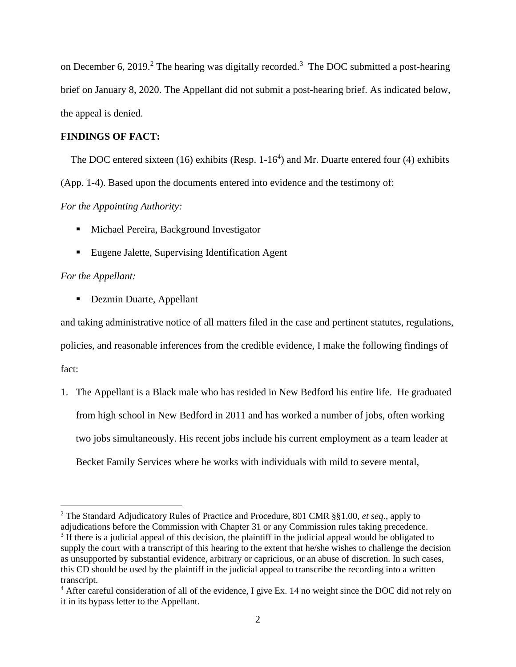on December 6, 2019.<sup>2</sup> The hearing was digitally recorded.<sup>3</sup> The DOC submitted a post-hearing brief on January 8, 2020. The Appellant did not submit a post-hearing brief. As indicated below, the appeal is denied.

## **FINDINGS OF FACT:**

The DOC entered sixteen (16) exhibits (Resp.  $1-16<sup>4</sup>$ ) and Mr. Duarte entered four (4) exhibits (App. 1-4). Based upon the documents entered into evidence and the testimony of:

## *For the Appointing Authority:*

- Michael Pereira, Background Investigator
- Eugene Jalette, Supervising Identification Agent

## *For the Appellant:*

■ Dezmin Duarte, Appellant

and taking administrative notice of all matters filed in the case and pertinent statutes, regulations, policies, and reasonable inferences from the credible evidence, I make the following findings of fact:

1. The Appellant is a Black male who has resided in New Bedford his entire life. He graduated from high school in New Bedford in 2011 and has worked a number of jobs, often working two jobs simultaneously. His recent jobs include his current employment as a team leader at Becket Family Services where he works with individuals with mild to severe mental,

<sup>2</sup> The Standard Adjudicatory Rules of Practice and Procedure, 801 CMR §§1.00, *et seq*., apply to adjudications before the Commission with Chapter 31 or any Commission rules taking precedence. <sup>3</sup> If there is a judicial appeal of this decision, the plaintiff in the judicial appeal would be obligated to supply the court with a transcript of this hearing to the extent that he/she wishes to challenge the decision as unsupported by substantial evidence, arbitrary or capricious, or an abuse of discretion. In such cases, this CD should be used by the plaintiff in the judicial appeal to transcribe the recording into a written transcript.

<sup>&</sup>lt;sup>4</sup> After careful consideration of all of the evidence, I give Ex. 14 no weight since the DOC did not rely on it in its bypass letter to the Appellant.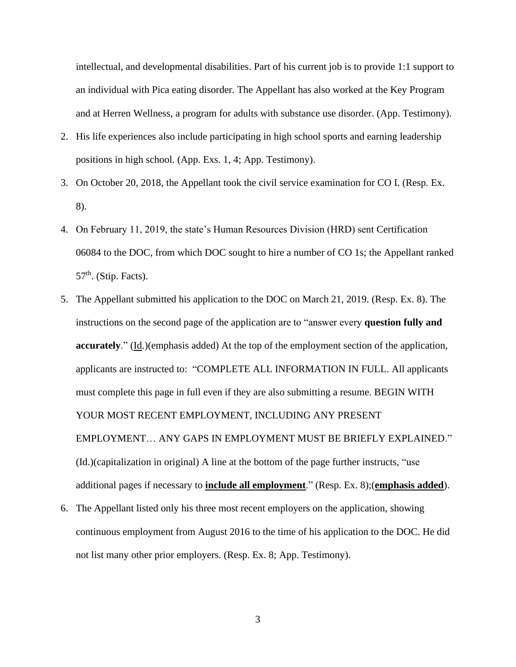intellectual, and developmental disabilities. Part of his current job is to provide 1:1 support to an individual with Pica eating disorder. The Appellant has also worked at the Key Program and at Herren Wellness, a program for adults with substance use disorder. (App. Testimony).

- 2. His life experiences also include participating in high school sports and earning leadership positions in high school. (App. Exs. 1, 4; App. Testimony).
- 3. On October 20, 2018, the Appellant took the civil service examination for CO I. (Resp. Ex. 8).
- 4. On February 11, 2019, the state's Human Resources Division (HRD) sent Certification 06084 to the DOC, from which DOC sought to hire a number of CO 1s; the Appellant ranked  $57<sup>th</sup>$ . (Stip. Facts).
- 5. The Appellant submitted his application to the DOC on March 21, 2019. (Resp. Ex. 8). The instructions on the second page of the application are to "answer every **question fully and accurately**." (Id.)(emphasis added) At the top of the employment section of the application, applicants are instructed to: "COMPLETE ALL INFORMATION IN FULL. All applicants must complete this page in full even if they are also submitting a resume. BEGIN WITH YOUR MOST RECENT EMPLOYMENT, INCLUDING ANY PRESENT EMPLOYMENT… ANY GAPS IN EMPLOYMENT MUST BE BRIEFLY EXPLAINED." (Id.)(capitalization in original) A line at the bottom of the page further instructs, "use additional pages if necessary to **include all employment**." (Resp. Ex. 8);(**emphasis added**).
- 6. The Appellant listed only his three most recent employers on the application, showing continuous employment from August 2016 to the time of his application to the DOC. He did not list many other prior employers. (Resp. Ex. 8; App. Testimony).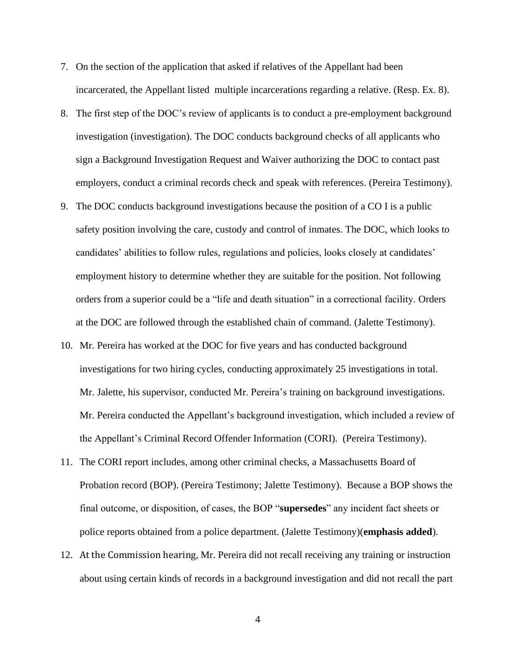- 7. On the section of the application that asked if relatives of the Appellant had been incarcerated, the Appellant listed multiple incarcerations regarding a relative. (Resp. Ex. 8).
- 8. The first step of the DOC's review of applicants is to conduct a pre-employment background investigation (investigation). The DOC conducts background checks of all applicants who sign a Background Investigation Request and Waiver authorizing the DOC to contact past employers, conduct a criminal records check and speak with references. (Pereira Testimony).
- 9. The DOC conducts background investigations because the position of a CO I is a public safety position involving the care, custody and control of inmates. The DOC, which looks to candidates' abilities to follow rules, regulations and policies, looks closely at candidates' employment history to determine whether they are suitable for the position. Not following orders from a superior could be a "life and death situation" in a correctional facility. Orders at the DOC are followed through the established chain of command. (Jalette Testimony).
- 10. Mr. Pereira has worked at the DOC for five years and has conducted background investigations for two hiring cycles, conducting approximately 25 investigations in total. Mr. Jalette, his supervisor, conducted Mr. Pereira's training on background investigations. Mr. Pereira conducted the Appellant's background investigation, which included a review of the Appellant's Criminal Record Offender Information (CORI). (Pereira Testimony).
- 11. The CORI report includes, among other criminal checks, a Massachusetts Board of Probation record (BOP). (Pereira Testimony; Jalette Testimony). Because a BOP shows the final outcome, or disposition, of cases, the BOP "**supersedes**" any incident fact sheets or police reports obtained from a police department. (Jalette Testimony)(**emphasis added**).
- 12. At the Commission hearing, Mr. Pereira did not recall receiving any training or instruction about using certain kinds of records in a background investigation and did not recall the part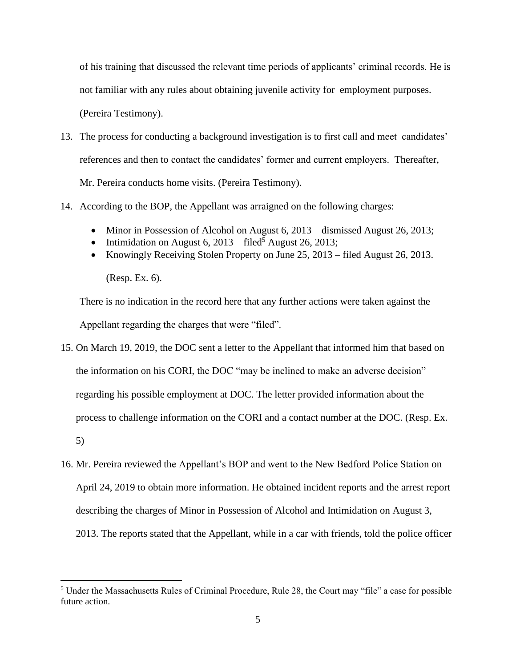of his training that discussed the relevant time periods of applicants' criminal records. He is not familiar with any rules about obtaining juvenile activity for employment purposes. (Pereira Testimony).

- 13. The process for conducting a background investigation is to first call and meet candidates' references and then to contact the candidates' former and current employers. Thereafter, Mr. Pereira conducts home visits. (Pereira Testimony).
- 14. According to the BOP, the Appellant was arraigned on the following charges:
	- Minor in Possession of Alcohol on August 6, 2013 dismissed August 26, 2013;
	- Intimidation on August 6,  $2013 \text{filed}^5$  August 26, 2013;
	- Knowingly Receiving Stolen Property on June 25, 2013 filed August 26, 2013.

(Resp. Ex. 6).

There is no indication in the record here that any further actions were taken against the Appellant regarding the charges that were "filed".

- 15. On March 19, 2019, the DOC sent a letter to the Appellant that informed him that based on the information on his CORI, the DOC "may be inclined to make an adverse decision" regarding his possible employment at DOC. The letter provided information about the process to challenge information on the CORI and a contact number at the DOC. (Resp. Ex. 5)
- 16. Mr. Pereira reviewed the Appellant's BOP and went to the New Bedford Police Station on April 24, 2019 to obtain more information. He obtained incident reports and the arrest report describing the charges of Minor in Possession of Alcohol and Intimidation on August 3, 2013. The reports stated that the Appellant, while in a car with friends, told the police officer

<sup>5</sup> Under the Massachusetts Rules of Criminal Procedure, Rule 28, the Court may "file" a case for possible future action.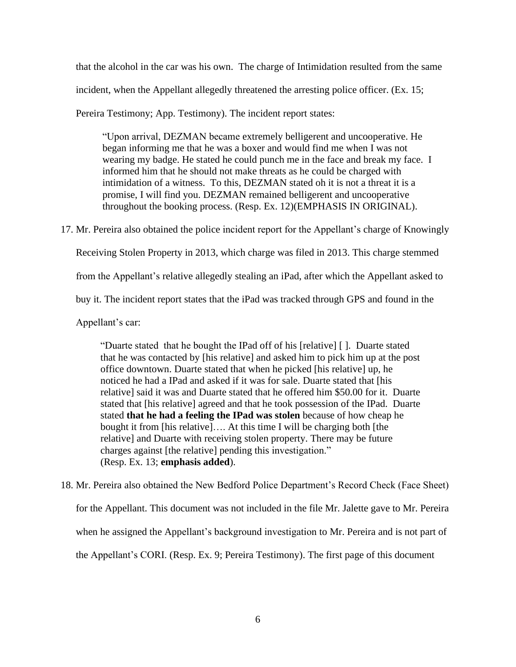that the alcohol in the car was his own. The charge of Intimidation resulted from the same incident, when the Appellant allegedly threatened the arresting police officer. (Ex. 15;

Pereira Testimony; App. Testimony). The incident report states:

"Upon arrival, DEZMAN became extremely belligerent and uncooperative. He began informing me that he was a boxer and would find me when I was not wearing my badge. He stated he could punch me in the face and break my face. I informed him that he should not make threats as he could be charged with intimidation of a witness. To this, DEZMAN stated oh it is not a threat it is a promise, I will find you. DEZMAN remained belligerent and uncooperative throughout the booking process. (Resp. Ex. 12)(EMPHASIS IN ORIGINAL).

17. Mr. Pereira also obtained the police incident report for the Appellant's charge of Knowingly

Receiving Stolen Property in 2013, which charge was filed in 2013. This charge stemmed

from the Appellant's relative allegedly stealing an iPad, after which the Appellant asked to

buy it. The incident report states that the iPad was tracked through GPS and found in the

Appellant's car:

"Duarte stated that he bought the IPad off of his [relative] [ ]. Duarte stated that he was contacted by [his relative] and asked him to pick him up at the post office downtown. Duarte stated that when he picked [his relative] up, he noticed he had a IPad and asked if it was for sale. Duarte stated that [his relative] said it was and Duarte stated that he offered him \$50.00 for it. Duarte stated that [his relative] agreed and that he took possession of the IPad. Duarte stated **that he had a feeling the IPad was stolen** because of how cheap he bought it from [his relative]…. At this time I will be charging both [the relative] and Duarte with receiving stolen property. There may be future charges against [the relative] pending this investigation." (Resp. Ex. 13; **emphasis added**).

18. Mr. Pereira also obtained the New Bedford Police Department's Record Check (Face Sheet) for the Appellant. This document was not included in the file Mr. Jalette gave to Mr. Pereira when he assigned the Appellant's background investigation to Mr. Pereira and is not part of the Appellant's CORI. (Resp. Ex. 9; Pereira Testimony). The first page of this document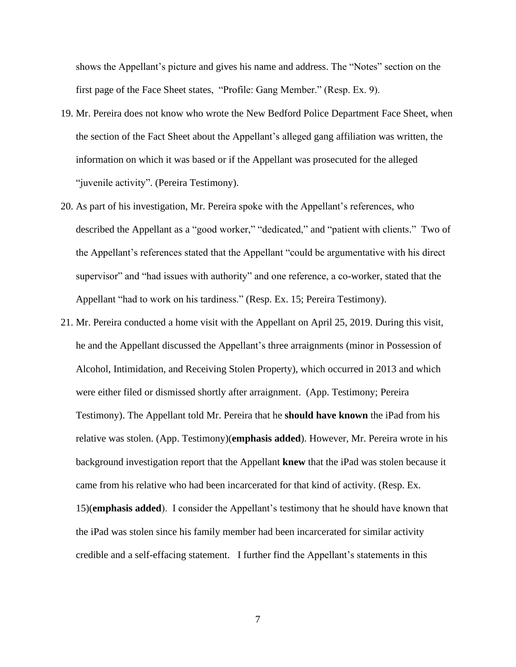shows the Appellant's picture and gives his name and address. The "Notes" section on the first page of the Face Sheet states, "Profile: Gang Member." (Resp. Ex. 9).

- 19. Mr. Pereira does not know who wrote the New Bedford Police Department Face Sheet, when the section of the Fact Sheet about the Appellant's alleged gang affiliation was written, the information on which it was based or if the Appellant was prosecuted for the alleged "juvenile activity". (Pereira Testimony).
- 20. As part of his investigation, Mr. Pereira spoke with the Appellant's references, who described the Appellant as a "good worker," "dedicated," and "patient with clients." Two of the Appellant's references stated that the Appellant "could be argumentative with his direct supervisor" and "had issues with authority" and one reference, a co-worker, stated that the Appellant "had to work on his tardiness." (Resp. Ex. 15; Pereira Testimony).
- 21. Mr. Pereira conducted a home visit with the Appellant on April 25, 2019. During this visit, he and the Appellant discussed the Appellant's three arraignments (minor in Possession of Alcohol, Intimidation, and Receiving Stolen Property), which occurred in 2013 and which were either filed or dismissed shortly after arraignment. (App. Testimony; Pereira Testimony). The Appellant told Mr. Pereira that he **should have known** the iPad from his relative was stolen. (App. Testimony)(**emphasis added**). However, Mr. Pereira wrote in his background investigation report that the Appellant **knew** that the iPad was stolen because it came from his relative who had been incarcerated for that kind of activity. (Resp. Ex. 15)(**emphasis added**). I consider the Appellant's testimony that he should have known that the iPad was stolen since his family member had been incarcerated for similar activity credible and a self-effacing statement. I further find the Appellant's statements in this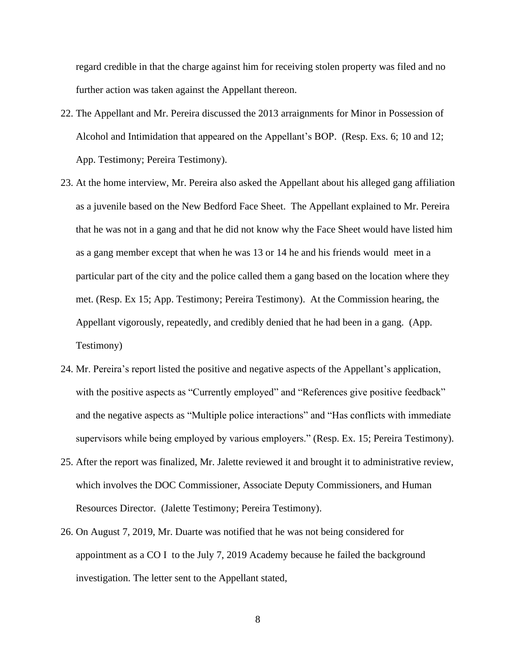regard credible in that the charge against him for receiving stolen property was filed and no further action was taken against the Appellant thereon.

- 22. The Appellant and Mr. Pereira discussed the 2013 arraignments for Minor in Possession of Alcohol and Intimidation that appeared on the Appellant's BOP. (Resp. Exs. 6; 10 and 12; App. Testimony; Pereira Testimony).
- 23. At the home interview, Mr. Pereira also asked the Appellant about his alleged gang affiliation as a juvenile based on the New Bedford Face Sheet. The Appellant explained to Mr. Pereira that he was not in a gang and that he did not know why the Face Sheet would have listed him as a gang member except that when he was 13 or 14 he and his friends would meet in a particular part of the city and the police called them a gang based on the location where they met. (Resp. Ex 15; App. Testimony; Pereira Testimony). At the Commission hearing, the Appellant vigorously, repeatedly, and credibly denied that he had been in a gang. (App. Testimony)
- 24. Mr. Pereira's report listed the positive and negative aspects of the Appellant's application, with the positive aspects as "Currently employed" and "References give positive feedback" and the negative aspects as "Multiple police interactions" and "Has conflicts with immediate supervisors while being employed by various employers." (Resp. Ex. 15; Pereira Testimony).
- 25. After the report was finalized, Mr. Jalette reviewed it and brought it to administrative review, which involves the DOC Commissioner, Associate Deputy Commissioners, and Human Resources Director. (Jalette Testimony; Pereira Testimony).
- 26. On August 7, 2019, Mr. Duarte was notified that he was not being considered for appointment as a CO I to the July 7, 2019 Academy because he failed the background investigation. The letter sent to the Appellant stated,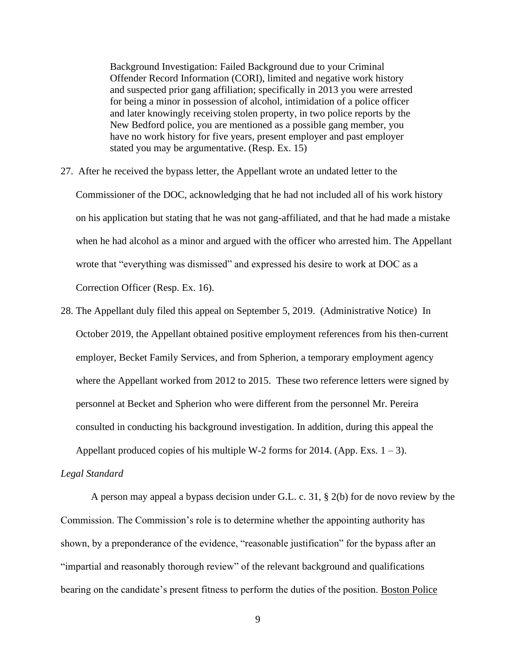Background Investigation: Failed Background due to your Criminal Offender Record Information (CORI), limited and negative work history and suspected prior gang affiliation; specifically in 2013 you were arrested for being a minor in possession of alcohol, intimidation of a police officer and later knowingly receiving stolen property, in two police reports by the New Bedford police, you are mentioned as a possible gang member, you have no work history for five years, present employer and past employer stated you may be argumentative. (Resp. Ex. 15)

- 27. After he received the bypass letter, the Appellant wrote an undated letter to the Commissioner of the DOC, acknowledging that he had not included all of his work history on his application but stating that he was not gang-affiliated, and that he had made a mistake when he had alcohol as a minor and argued with the officer who arrested him. The Appellant wrote that "everything was dismissed" and expressed his desire to work at DOC as a Correction Officer (Resp. Ex. 16).
- 28. The Appellant duly filed this appeal on September 5, 2019. (Administrative Notice) In October 2019, the Appellant obtained positive employment references from his then-current employer, Becket Family Services, and from Spherion, a temporary employment agency where the Appellant worked from 2012 to 2015. These two reference letters were signed by personnel at Becket and Spherion who were different from the personnel Mr. Pereira consulted in conducting his background investigation. In addition, during this appeal the

Appellant produced copies of his multiple W-2 forms for 2014. (App. Exs.  $1 - 3$ ).

#### *Legal Standard*

A person may appeal a bypass decision under G.L. c. 31, § 2(b) for de novo review by the Commission. The Commission's role is to determine whether the appointing authority has shown, by a preponderance of the evidence, "reasonable justification" for the bypass after an "impartial and reasonably thorough review" of the relevant background and qualifications bearing on the candidate's present fitness to perform the duties of the position. Boston Police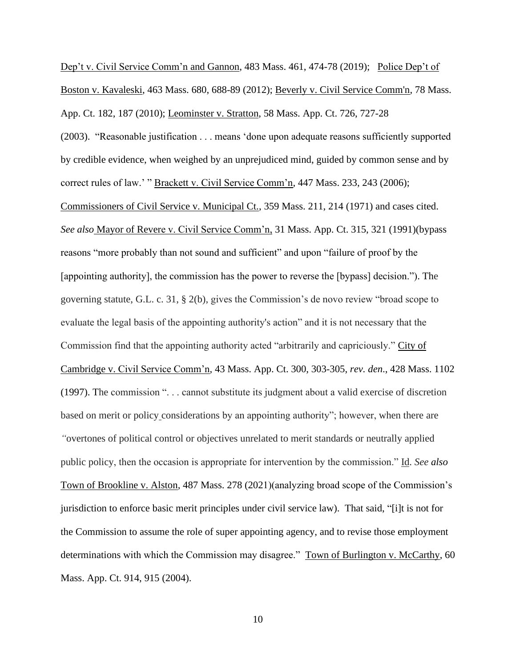Dep't v. Civil Service Comm'n and Gannon, 483 Mass. 461, 474-78 (2019); Police Dep't of Boston v. Kavaleski, 463 Mass. 680, 688-89 (2012); [Beverly v. Civil Service Comm'n, 78 Mass.](http://web2.westlaw.com/find/default.wl?mt=Massachusetts&db=578&rs=WLW15.04&tc=-1&rp=%2ffind%2fdefault.wl&findtype=Y&ordoc=2029136022&serialnum=2023501172&vr=2.0&fn=_top&sv=Split&tf=-1&pbc=70F732C1&utid=1) App. [Ct. 182, 187 \(2010\);](http://web2.westlaw.com/find/default.wl?mt=Massachusetts&db=578&rs=WLW15.04&tc=-1&rp=%2ffind%2fdefault.wl&findtype=Y&ordoc=2029136022&serialnum=2023501172&vr=2.0&fn=_top&sv=Split&tf=-1&pbc=70F732C1&utid=1) Leominster v. Stratton, 58 Mass. App. Ct. 726, 727-28 (2003). "Reasonable justification . . . means 'done upon adequate reasons sufficiently supported by credible evidence, when weighed by an unprejudiced mind, guided by common sense and by correct rules of law.' " Brackett v. Civil Service Comm'n, 447 Mass. 233, 243 (2006); Commissioners of Civil Service v. Municipal Ct., 359 Mass. 211, 214 (1971) and cases cited. *See also* Mayor of Revere v. Civil Service Comm'n, 31 Mass. App. Ct. 315, 321 (1991)(bypass reasons "more probably than not sound and sufficient" and upon "failure of proof by the [appointing authority], the commission has the power to reverse the [bypass] decision."). The governing statute, G.L. c. 31, § 2(b), gives the Commission's de novo review "broad scope to evaluate the legal basis of the appointing authority's action" and it is not necessary that the Commission find that the appointing authority acted "arbitrarily and capriciously." City of Cambridge v. Civil Service Comm'n, 43 Mass. App. Ct. 300, 303-305, *rev. den*., 428 Mass. 1102 (1997). The commission ". . . cannot substitute its judgment about a valid exercise of discretion based on merit or policy considerations by an appointing authority"; however, when there are *"*overtones of political control or objectives unrelated to merit standards or neutrally applied public policy, then the occasion is appropriate for intervention by the commission." Id. *See also* Town of Brookline v. Alston, 487 Mass. 278 (2021)(analyzing broad scope of the Commission's jurisdiction to enforce basic merit principles under civil service law). That said, "[i]t is not for the Commission to assume the role of super appointing agency, and to revise those employment determinations with which the Commission may disagree." Town of Burlington v. McCarthy, 60 Mass. App. Ct. 914, 915 (2004).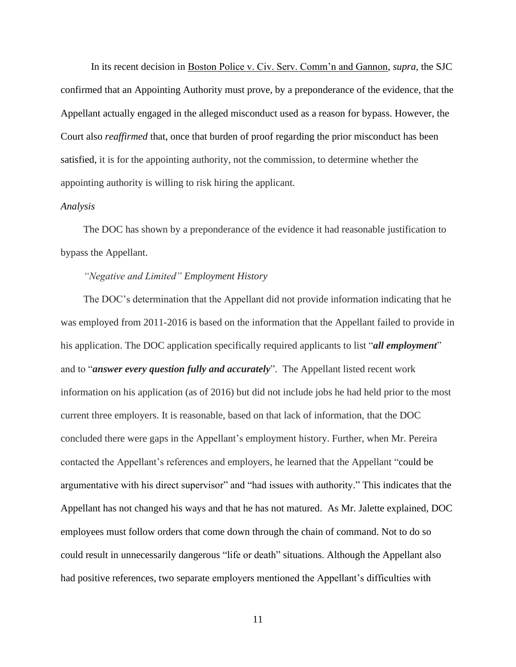In its recent decision in Boston Police v. Civ. Serv. Comm'n and Gannon, *supra*, the SJC confirmed that an Appointing Authority must prove, by a preponderance of the evidence*,* that the Appellant actually engaged in the alleged misconduct used as a reason for bypass. However, the Court also *reaffirmed* that, once that burden of proof regarding the prior misconduct has been satisfied, it is for the appointing authority, not the commission, to determine whether the appointing authority is willing to risk hiring the applicant.

#### *Analysis*

The DOC has shown by a preponderance of the evidence it had reasonable justification to bypass the Appellant.

## *"Negative and Limited" Employment History*

The DOC's determination that the Appellant did not provide information indicating that he was employed from 2011-2016 is based on the information that the Appellant failed to provide in his application. The DOC application specifically required applicants to list "*all employment*" and to "*answer every question fully and accurately*". The Appellant listed recent work information on his application (as of 2016) but did not include jobs he had held prior to the most current three employers. It is reasonable, based on that lack of information, that the DOC concluded there were gaps in the Appellant's employment history. Further, when Mr. Pereira contacted the Appellant's references and employers, he learned that the Appellant "could be argumentative with his direct supervisor" and "had issues with authority." This indicates that the Appellant has not changed his ways and that he has not matured. As Mr. Jalette explained, DOC employees must follow orders that come down through the chain of command. Not to do so could result in unnecessarily dangerous "life or death" situations. Although the Appellant also had positive references, two separate employers mentioned the Appellant's difficulties with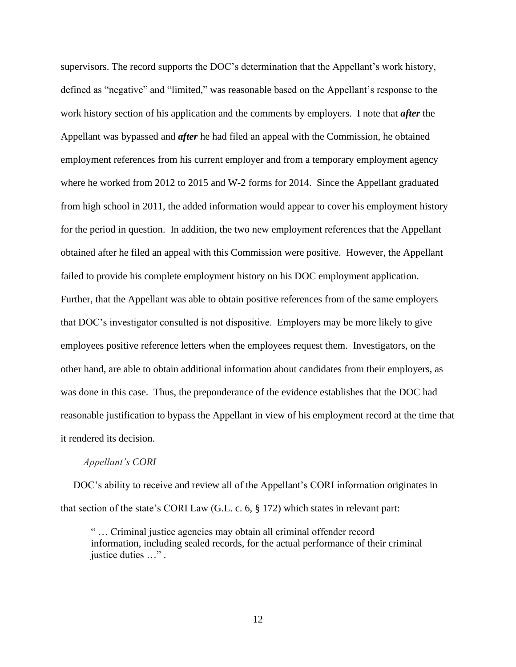supervisors. The record supports the DOC's determination that the Appellant's work history, defined as "negative" and "limited," was reasonable based on the Appellant's response to the work history section of his application and the comments by employers. I note that *after* the Appellant was bypassed and *after* he had filed an appeal with the Commission, he obtained employment references from his current employer and from a temporary employment agency where he worked from 2012 to 2015 and W-2 forms for 2014. Since the Appellant graduated from high school in 2011, the added information would appear to cover his employment history for the period in question. In addition, the two new employment references that the Appellant obtained after he filed an appeal with this Commission were positive. However, the Appellant failed to provide his complete employment history on his DOC employment application. Further, that the Appellant was able to obtain positive references from of the same employers that DOC's investigator consulted is not dispositive. Employers may be more likely to give employees positive reference letters when the employees request them. Investigators, on the other hand, are able to obtain additional information about candidates from their employers, as was done in this case. Thus, the preponderance of the evidence establishes that the DOC had reasonable justification to bypass the Appellant in view of his employment record at the time that it rendered its decision.

#### *Appellant's CORI*

 DOC's ability to receive and review all of the Appellant's CORI information originates in that section of the state's CORI Law (G.L. c. 6, § 172) which states in relevant part:

" … Criminal justice agencies may obtain all criminal offender record information, including sealed records, for the actual performance of their criminal justice duties …" .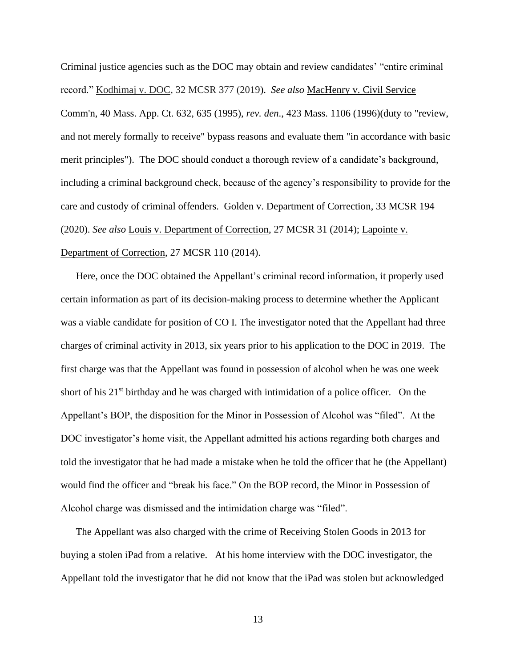Criminal justice agencies such as the DOC may obtain and review candidates' "entire criminal record." Kodhimaj v. DOC, 32 MCSR 377 (2019). *See also* MacHenry v. Civil Service Comm'n, 40 Mass. App. Ct. 632, 635 (1995), *rev. den*., 423 Mass. 1106 (1996)(duty to "review, and not merely formally to receive" bypass reasons and evaluate them "in accordance with basic merit principles"). The DOC should conduct a thorough review of a candidate's background, including a criminal background check, because of the agency's responsibility to provide for the care and custody of criminal offenders. Golden v. Department of Correction, 33 MCSR 194 (2020). *See also* Louis v. Department of Correction, 27 MCSR 31 (2014); Lapointe v. Department of Correction, 27 MCSR 110 (2014).

Here, once the DOC obtained the Appellant's criminal record information, it properly used certain information as part of its decision-making process to determine whether the Applicant was a viable candidate for position of CO I. The investigator noted that the Appellant had three charges of criminal activity in 2013, six years prior to his application to the DOC in 2019. The first charge was that the Appellant was found in possession of alcohol when he was one week short of his  $21<sup>st</sup>$  birthday and he was charged with intimidation of a police officer. On the Appellant's BOP, the disposition for the Minor in Possession of Alcohol was "filed". At the DOC investigator's home visit, the Appellant admitted his actions regarding both charges and told the investigator that he had made a mistake when he told the officer that he (the Appellant) would find the officer and "break his face." On the BOP record, the Minor in Possession of Alcohol charge was dismissed and the intimidation charge was "filed".

The Appellant was also charged with the crime of Receiving Stolen Goods in 2013 for buying a stolen iPad from a relative. At his home interview with the DOC investigator, the Appellant told the investigator that he did not know that the iPad was stolen but acknowledged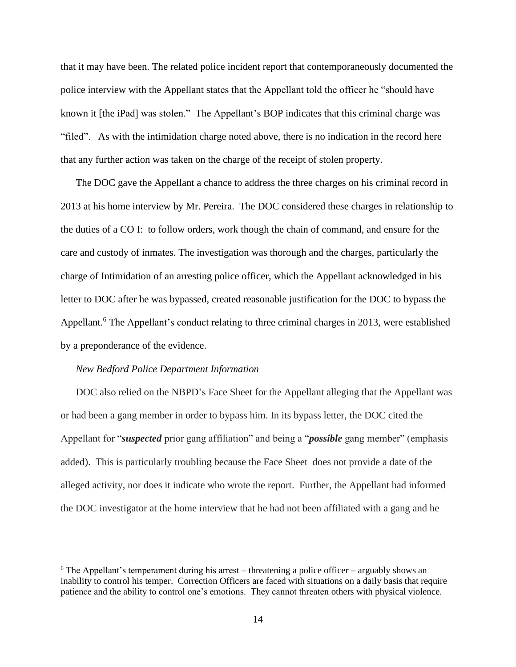that it may have been. The related police incident report that contemporaneously documented the police interview with the Appellant states that the Appellant told the officer he "should have known it [the iPad] was stolen." The Appellant's BOP indicates that this criminal charge was "filed". As with the intimidation charge noted above, there is no indication in the record here that any further action was taken on the charge of the receipt of stolen property.

The DOC gave the Appellant a chance to address the three charges on his criminal record in 2013 at his home interview by Mr. Pereira. The DOC considered these charges in relationship to the duties of a CO I: to follow orders, work though the chain of command, and ensure for the care and custody of inmates. The investigation was thorough and the charges, particularly the charge of Intimidation of an arresting police officer, which the Appellant acknowledged in his letter to DOC after he was bypassed, created reasonable justification for the DOC to bypass the Appellant.<sup>6</sup> The Appellant's conduct relating to three criminal charges in 2013, were established by a preponderance of the evidence.

#### *New Bedford Police Department Information*

DOC also relied on the NBPD's Face Sheet for the Appellant alleging that the Appellant was or had been a gang member in order to bypass him. In its bypass letter, the DOC cited the Appellant for "*suspected* prior gang affiliation" and being a "*possible* gang member" (emphasis added). This is particularly troubling because the Face Sheet does not provide a date of the alleged activity, nor does it indicate who wrote the report. Further, the Appellant had informed the DOC investigator at the home interview that he had not been affiliated with a gang and he

 $6$  The Appellant's temperament during his arrest – threatening a police officer – arguably shows an inability to control his temper. Correction Officers are faced with situations on a daily basis that require patience and the ability to control one's emotions. They cannot threaten others with physical violence.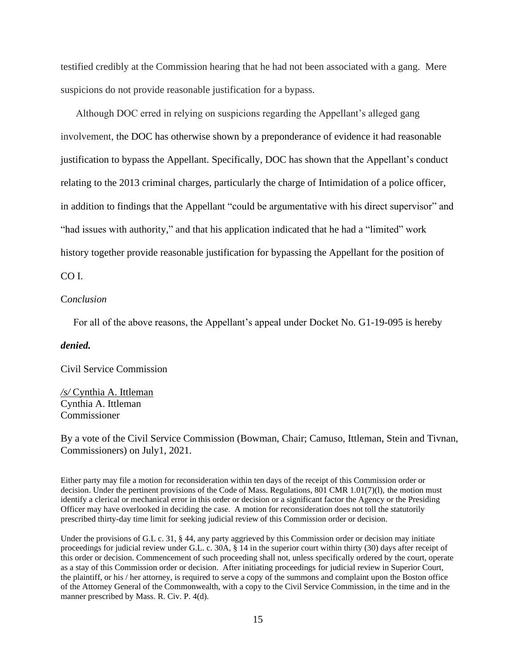testified credibly at the Commission hearing that he had not been associated with a gang. Mere suspicions do not provide reasonable justification for a bypass.

Although DOC erred in relying on suspicions regarding the Appellant's alleged gang involvement, the DOC has otherwise shown by a preponderance of evidence it had reasonable justification to bypass the Appellant. Specifically, DOC has shown that the Appellant's conduct relating to the 2013 criminal charges, particularly the charge of Intimidation of a police officer, in addition to findings that the Appellant "could be argumentative with his direct supervisor" and "had issues with authority," and that his application indicated that he had a "limited" work history together provide reasonable justification for bypassing the Appellant for the position of

CO I.

#### C*onclusion*

For all of the above reasons, the Appellant's appeal under Docket No. G1-19-095 is hereby

#### *denied.*

Civil Service Commission

*/s/* Cynthia A. Ittleman Cynthia A. Ittleman Commissioner

By a vote of the Civil Service Commission (Bowman, Chair; Camuso, Ittleman, Stein and Tivnan, Commissioners) on July1, 2021.

Either party may file a motion for reconsideration within ten days of the receipt of this Commission order or decision. Under the pertinent provisions of the Code of Mass. Regulations, 801 CMR 1.01(7)(l), the motion must identify a clerical or mechanical error in this order or decision or a significant factor the Agency or the Presiding Officer may have overlooked in deciding the case. A motion for reconsideration does not toll the statutorily prescribed thirty-day time limit for seeking judicial review of this Commission order or decision.

Under the provisions of G.L c. 31, § 44, any party aggrieved by this Commission order or decision may initiate proceedings for judicial review under G.L. c. 30A, § 14 in the superior court within thirty (30) days after receipt of this order or decision. Commencement of such proceeding shall not, unless specifically ordered by the court, operate as a stay of this Commission order or decision. After initiating proceedings for judicial review in Superior Court, the plaintiff, or his / her attorney, is required to serve a copy of the summons and complaint upon the Boston office of the Attorney General of the Commonwealth, with a copy to the Civil Service Commission, in the time and in the manner prescribed by Mass. R. Civ. P. 4(d).